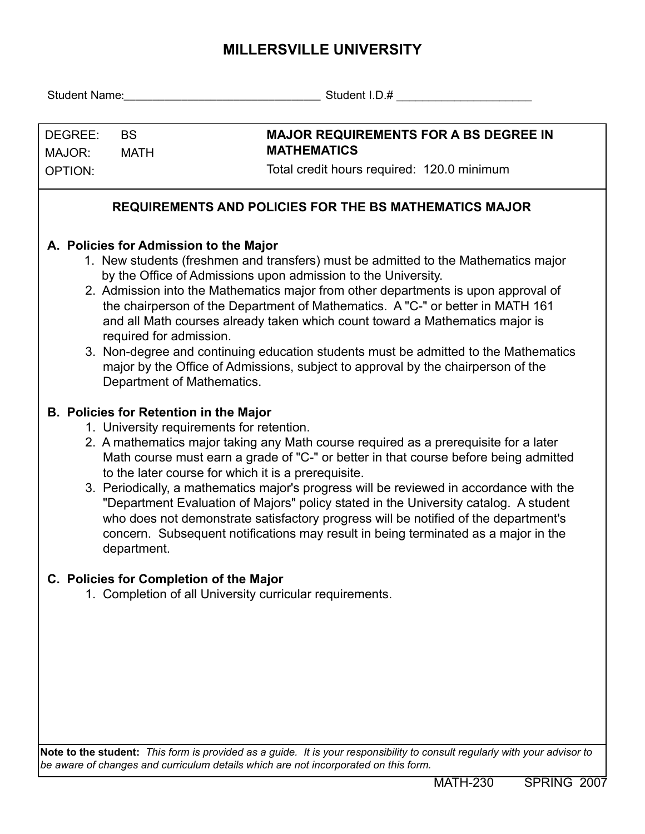## **MILLERSVILLE UNIVERSITY**

| DEGREE:<br>MAJOR:<br><b>OPTION:</b>                           | <b>BS</b><br><b>MATH</b>                                                                                                                                                                                                                                | <b>MAJOR REQUIREMENTS FOR A BS DEGREE IN</b><br><b>MATHEMATICS</b><br>Total credit hours required: 120.0 minimum                                                                                                                                                                                                                                                                                                                                                                                                                                                                                                                                                                                                                                                                                                                                                                                                                                                                                                                                                                                                                                                                                                                                          |  |  |  |  |  |  |  |  |
|---------------------------------------------------------------|---------------------------------------------------------------------------------------------------------------------------------------------------------------------------------------------------------------------------------------------------------|-----------------------------------------------------------------------------------------------------------------------------------------------------------------------------------------------------------------------------------------------------------------------------------------------------------------------------------------------------------------------------------------------------------------------------------------------------------------------------------------------------------------------------------------------------------------------------------------------------------------------------------------------------------------------------------------------------------------------------------------------------------------------------------------------------------------------------------------------------------------------------------------------------------------------------------------------------------------------------------------------------------------------------------------------------------------------------------------------------------------------------------------------------------------------------------------------------------------------------------------------------------|--|--|--|--|--|--|--|--|
| <b>REQUIREMENTS AND POLICIES FOR THE BS MATHEMATICS MAJOR</b> |                                                                                                                                                                                                                                                         |                                                                                                                                                                                                                                                                                                                                                                                                                                                                                                                                                                                                                                                                                                                                                                                                                                                                                                                                                                                                                                                                                                                                                                                                                                                           |  |  |  |  |  |  |  |  |
|                                                               | A. Policies for Admission to the Major<br>required for admission.<br>Department of Mathematics.<br><b>B. Policies for Retention in the Major</b><br>1. University requirements for retention.<br>department.<br>C. Policies for Completion of the Major | 1. New students (freshmen and transfers) must be admitted to the Mathematics major<br>by the Office of Admissions upon admission to the University.<br>2. Admission into the Mathematics major from other departments is upon approval of<br>the chairperson of the Department of Mathematics. A "C-" or better in MATH 161<br>and all Math courses already taken which count toward a Mathematics major is<br>3. Non-degree and continuing education students must be admitted to the Mathematics<br>major by the Office of Admissions, subject to approval by the chairperson of the<br>2. A mathematics major taking any Math course required as a prerequisite for a later<br>Math course must earn a grade of "C-" or better in that course before being admitted<br>to the later course for which it is a prerequisite.<br>3. Periodically, a mathematics major's progress will be reviewed in accordance with the<br>"Department Evaluation of Majors" policy stated in the University catalog. A student<br>who does not demonstrate satisfactory progress will be notified of the department's<br>concern. Subsequent notifications may result in being terminated as a major in the<br>1. Completion of all University curricular requirements. |  |  |  |  |  |  |  |  |
|                                                               |                                                                                                                                                                                                                                                         |                                                                                                                                                                                                                                                                                                                                                                                                                                                                                                                                                                                                                                                                                                                                                                                                                                                                                                                                                                                                                                                                                                                                                                                                                                                           |  |  |  |  |  |  |  |  |
|                                                               |                                                                                                                                                                                                                                                         | Note to the student: This form is provided as a guide. It is your responsibility to consult regularly with your advisor to                                                                                                                                                                                                                                                                                                                                                                                                                                                                                                                                                                                                                                                                                                                                                                                                                                                                                                                                                                                                                                                                                                                                |  |  |  |  |  |  |  |  |

*be aware of changes and curriculum details which are not incorporated on this form.*